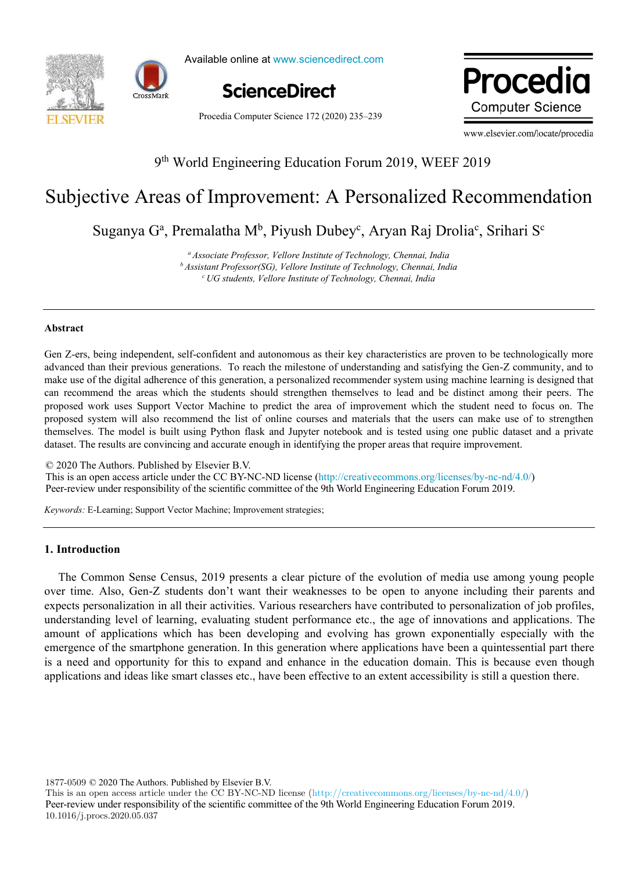



Available online at www.sciencedirect.com ScienceDirect ScienceDirect

**ScienceDirect**

Procedia **Computer Science** 

Procedia Computer Science 172 (2020) 235–239

www.elsevier.com/locate/procedia

# 9 th World Engineering Education Forum 2019, WEEF 2019

# Subjective Areas of Improvement: A Personalized Recommendation

Suganya G<sup>a</sup>, Premalatha M<sup>b</sup>, Piyush Dubey<sup>c</sup>, Aryan Raj Drolia<sup>c</sup>, Srihari S<sup>c</sup>

*<sup>a</sup>Associate Professor, Vellore Institute of Technology, Chennai, India <sup>b</sup>Assistant Professor(SG), Vellore Institute of Technology, Chennai, India <sup>c</sup>UG students, Vellore Institute of Technology, Chennai, India*

#### **Abstract**

Gen Z-ers, being independent, self-confident and autonomous as their key characteristics are proven to be technologically more advanced than their previous generations. To reach the milestone of understanding and satisfying the Gen-Z community, and to make use of the digital adherence of this generation, a personalized recommender system using machine learning is designed that can recommend the areas which the students should strengthen themselves to lead and be distinct among their peers. The proposed work uses Support Vector Machine to predict the area of improvement which the student need to focus on. The proposed system will also recommend the list of online courses and materials that the users can make use of to strengthen themselves. The model is built using Python flask and Jupyter notebook and is tested using one public dataset and a private dataset. The results are convincing and accurate enough in identifying the proper areas that require improvement.

© 2020 The Authors. Published by Elsevier B.V. This is an open access article under the CC BY-NC-ND license (http://creativecommons.org/licenses/by-nc-nd/4.0/) Peer-review under responsibility of the scientific committee of the 9th World Engineering Education Forum 2019.

*Keywords:* E-Learning; Support Vector Machine; Improvement strategies;

# **1. Introduction**

The Common Sense Census, 2019 presents a clear picture of the evolution of media use among young people over time. Also, Gen-Z students don't want their weaknesses to be open to anyone including their parents and expects personalization in all their activities. Various researchers have contributed to personalization of job profiles, understanding level of learning, evaluating student performance etc., the age of innovations and applications. The amount of applications which has been developing and evolving has grown exponentially especially with the emergence of the smartphone generation. In this generation where applications have been a quintessential part there is a need and opportunity for this to expand and enhance in the education domain. This is because even though applications and ideas like smart classes etc., have been effective to an extent accessibility is still a question there.

1877-0509 © 2020 The Authors. Published by Elsevier B.V.

This is an open access article under the CC BY-NC-ND license (http://creativecommons.org/licenses/by-nc-nd/4.0/) Peer-review under responsibility of the scientific committee of the 9th World Engineering Education Forum 2019. 10.1016/j.procs.2020.05.037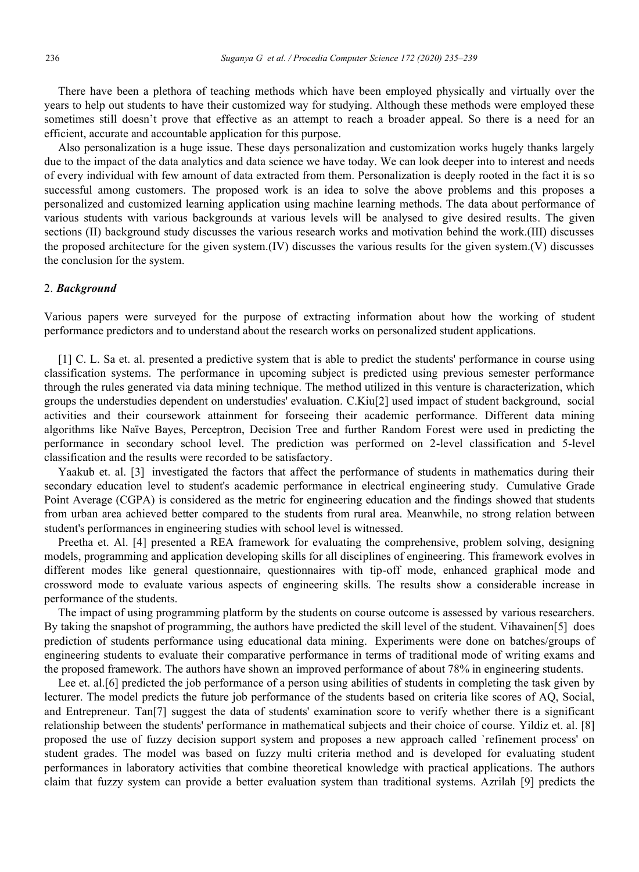There have been a plethora of teaching methods which have been employed physically and virtually over the years to help out students to have their customized way for studying. Although these methods were employed these sometimes still doesn't prove that effective as an attempt to reach a broader appeal. So there is a need for an efficient, accurate and accountable application for this purpose.

Also personalization is a huge issue. These days personalization and customization works hugely thanks largely due to the impact of the data analytics and data science we have today. We can look deeper into to interest and needs of every individual with few amount of data extracted from them. Personalization is deeply rooted in the fact it is so successful among customers. The proposed work is an idea to solve the above problems and this proposes a personalized and customized learning application using machine learning methods. The data about performance of various students with various backgrounds at various levels will be analysed to give desired results. The given sections (II) background study discusses the various research works and motivation behind the work.(III) discusses the proposed architecture for the given system.(IV) discusses the various results for the given system.(V) discusses the conclusion for the system.

# 2. *Background*

Various papers were surveyed for the purpose of extracting information about how the working of student performance predictors and to understand about the research works on personalized student applications.

[1] C. L. Sa et. al. presented a predictive system that is able to predict the students' performance in course using classification systems. The performance in upcoming subject is predicted using previous semester performance through the rules generated via data mining technique. The method utilized in this venture is characterization, which groups the understudies dependent on understudies' evaluation. C.Kiu[2] used impact of student background, social activities and their coursework attainment for forseeing their academic performance. Different data mining algorithms like Naïve Bayes, Perceptron, Decision Tree and further Random Forest were used in predicting the performance in secondary school level. The prediction was performed on 2-level classification and 5-level classification and the results were recorded to be satisfactory.

Yaakub et. al. [3] investigated the factors that affect the performance of students in mathematics during their secondary education level to student's academic performance in electrical engineering study. Cumulative Grade Point Average (CGPA) is considered as the metric for engineering education and the findings showed that students from urban area achieved better compared to the students from rural area. Meanwhile, no strong relation between student's performances in engineering studies with school level is witnessed.

Preetha et. Al. [4] presented a REA framework for evaluating the comprehensive, problem solving, designing models, programming and application developing skills for all disciplines of engineering. This framework evolves in different modes like general questionnaire, questionnaires with tip-off mode, enhanced graphical mode and crossword mode to evaluate various aspects of engineering skills. The results show a considerable increase in performance of the students.

The impact of using programming platform by the students on course outcome is assessed by various researchers. By taking the snapshot of programming, the authors have predicted the skill level of the student. Vihavainen[5] does prediction of students performance using educational data mining. Experiments were done on batches/groups of engineering students to evaluate their comparative performance in terms of traditional mode of writing exams and the proposed framework. The authors have shown an improved performance of about 78% in engineering students.

Lee et. al.[6] predicted the job performance of a person using abilities of students in completing the task given by lecturer. The model predicts the future job performance of the students based on criteria like scores of AQ, Social, and Entrepreneur. Tan[7] suggest the data of students' examination score to verify whether there is a significant relationship between the students' performance in mathematical subjects and their choice of course. Yildiz et. al. [8] proposed the use of fuzzy decision support system and proposes a new approach called `refinement process' on student grades. The model was based on fuzzy multi criteria method and is developed for evaluating student performances in laboratory activities that combine theoretical knowledge with practical applications. The authors claim that fuzzy system can provide a better evaluation system than traditional systems. Azrilah [9] predicts the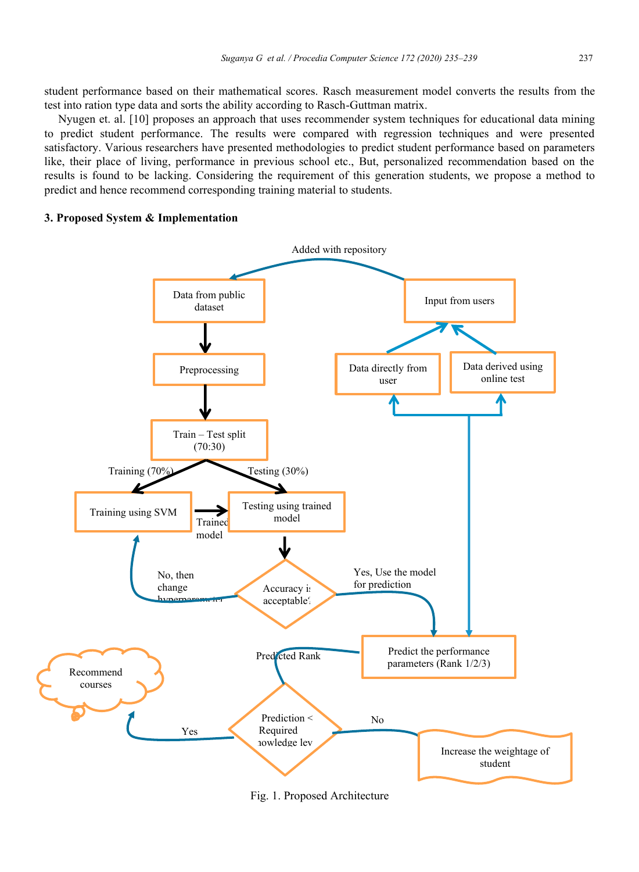student performance based on their mathematical scores. Rasch measurement model converts the results from the test into ration type data and sorts the ability according to Rasch-Guttman matrix.

Nyugen et. al. [10] proposes an approach that uses recommender system techniques for educational data mining to predict student performance. The results were compared with regression techniques and were presented satisfactory. Various researchers have presented methodologies to predict student performance based on parameters like, their place of living, performance in previous school etc., But, personalized recommendation based on the results is found to be lacking. Considering the requirement of this generation students, we propose a method to predict and hence recommend corresponding training material to students.

# **3. Proposed System & Implementation**



Fig. 1. Proposed Architecture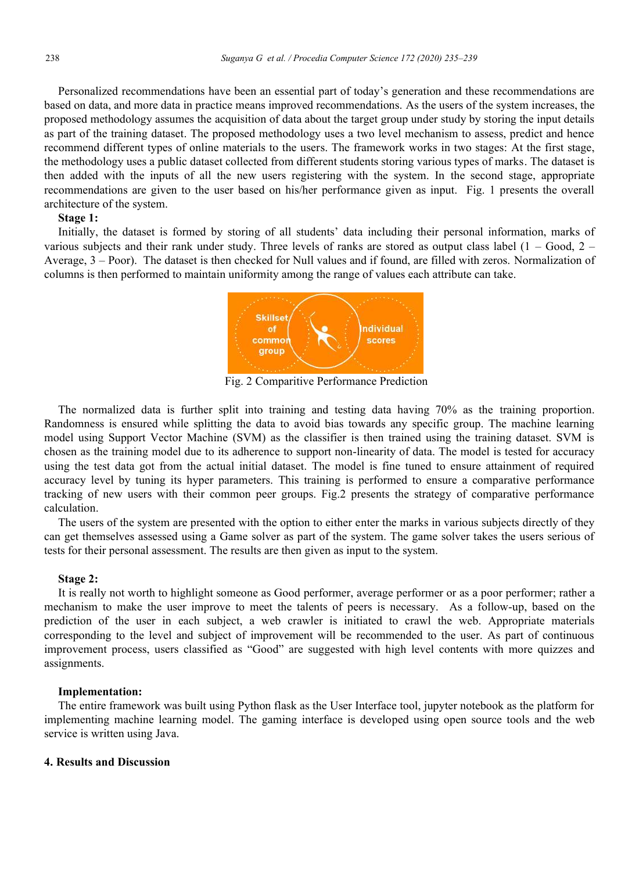Personalized recommendations have been an essential part of today's generation and these recommendations are based on data, and more data in practice means improved recommendations. As the users of the system increases, the proposed methodology assumes the acquisition of data about the target group under study by storing the input details as part of the training dataset. The proposed methodology uses a two level mechanism to assess, predict and hence recommend different types of online materials to the users. The framework works in two stages: At the first stage, the methodology uses a public dataset collected from different students storing various types of marks. The dataset is then added with the inputs of all the new users registering with the system. In the second stage, appropriate recommendations are given to the user based on his/her performance given as input. Fig. 1 presents the overall architecture of the system.

# **Stage 1:**

Initially, the dataset is formed by storing of all students' data including their personal information, marks of various subjects and their rank under study. Three levels of ranks are stored as output class label  $(1 - Good, 2 -$ Average, 3 – Poor). The dataset is then checked for Null values and if found, are filled with zeros. Normalization of columns is then performed to maintain uniformity among the range of values each attribute can take.



Fig. 2 Comparitive Performance Prediction

The normalized data is further split into training and testing data having 70% as the training proportion. Randomness is ensured while splitting the data to avoid bias towards any specific group. The machine learning model using Support Vector Machine (SVM) as the classifier is then trained using the training dataset. SVM is chosen as the training model due to its adherence to support non-linearity of data. The model is tested for accuracy using the test data got from the actual initial dataset. The model is fine tuned to ensure attainment of required accuracy level by tuning its hyper parameters. This training is performed to ensure a comparative performance tracking of new users with their common peer groups. Fig.2 presents the strategy of comparative performance calculation.

The users of the system are presented with the option to either enter the marks in various subjects directly of they can get themselves assessed using a Game solver as part of the system. The game solver takes the users serious of tests for their personal assessment. The results are then given as input to the system.

# **Stage 2:**

It is really not worth to highlight someone as Good performer, average performer or as a poor performer; rather a mechanism to make the user improve to meet the talents of peers is necessary. As a follow-up, based on the prediction of the user in each subject, a web crawler is initiated to crawl the web. Appropriate materials corresponding to the level and subject of improvement will be recommended to the user. As part of continuous improvement process, users classified as "Good" are suggested with high level contents with more quizzes and assignments.

# **Implementation:**

The entire framework was built using Python flask as the User Interface tool, jupyter notebook as the platform for implementing machine learning model. The gaming interface is developed using open source tools and the web service is written using Java.

# **4. Results and Discussion**